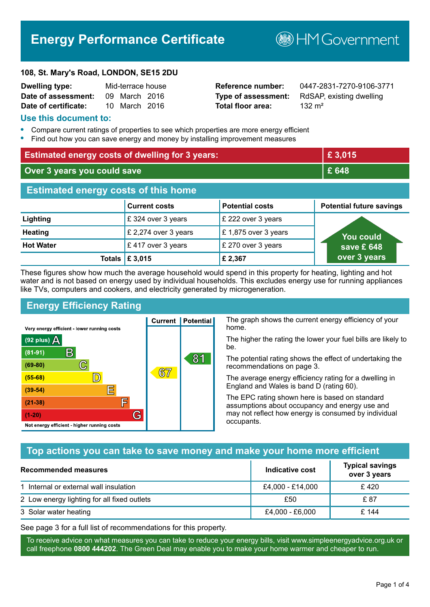# **Energy Performance Certificate**

#### **108, St. Mary's Road, LONDON, SE15 2DU**

| <b>Dwelling type:</b> | Mid-terrace house |  |
|-----------------------|-------------------|--|
| Date of assessment:   | 09 March 2016     |  |
| Date of certificate:  | 10 March 2016     |  |

# **Total floor area:** 132 m<sup>2</sup>

**Dwelling type:** Mid-terrace house **Reference number:** 0447-2831-7270-9106-3771 **Type of assessment:** RdSAP, existing dwelling

**B**HM Government

# **Use this document to:**

- **•** Compare current ratings of properties to see which properties are more energy efficient
- **•** Find out how you can save energy and money by installing improvement measures

| <b>Estimated energy costs of dwelling for 3 years:</b> |                      |                        | £3,015                          |
|--------------------------------------------------------|----------------------|------------------------|---------------------------------|
| Over 3 years you could save                            |                      | £ 648                  |                                 |
| <b>Estimated energy costs of this home</b>             |                      |                        |                                 |
|                                                        | <b>Current costs</b> | <b>Potential costs</b> | <b>Potential future savings</b> |
| Lighting                                               | £324 over 3 years    | £ 222 over 3 years     |                                 |
| <b>Heating</b>                                         | £ 2,274 over 3 years | £1,875 over 3 years    | <u>You could</u>                |
| <b>Hot Water</b>                                       | £417 over 3 years    | £ 270 over 3 years     | save £ 648                      |
| <b>Totals</b> I                                        | E 3,015              | £2,367                 | over 3 years                    |

These figures show how much the average household would spend in this property for heating, lighting and hot water and is not based on energy used by individual households. This excludes energy use for running appliances like TVs, computers and cookers, and electricity generated by microgeneration.

**Current | Potential** 

 $67$ 

# **Energy Efficiency Rating**

 $\mathbb{C}$ 

 $\mathbb{D}$ 

E

E

G

Very energy efficient - lower running costs

 $\mathsf{R}% _{T}$ 

Not energy efficient - higher running costs

 $(92$  plus)

 $(81 - 91)$ 

 $(69 - 80)$ 

 $(55-68)$ 

 $(39 - 54)$  $(21-38)$ 

 $(1-20)$ 

- 70

The graph shows the current energy efficiency of your home.

The higher the rating the lower your fuel bills are likely to be.

The potential rating shows the effect of undertaking the recommendations on page 3.

The average energy efficiency rating for a dwelling in England and Wales is band D (rating 60).

The EPC rating shown here is based on standard assumptions about occupancy and energy use and may not reflect how energy is consumed by individual occupants.

# **Top actions you can take to save money and make your home more efficient**

81

| <b>Recommended measures</b>                 | Indicative cost  | <b>Typical savings</b><br>over 3 years |
|---------------------------------------------|------------------|----------------------------------------|
| 1 Internal or external wall insulation      | £4,000 - £14,000 | £420                                   |
| 2 Low energy lighting for all fixed outlets | £50              | £ 87                                   |
| 3 Solar water heating                       | £4,000 - £6,000  | £ 144                                  |

See page 3 for a full list of recommendations for this property.

To receive advice on what measures you can take to reduce your energy bills, visit www.simpleenergyadvice.org.uk or call freephone **0800 444202**. The Green Deal may enable you to make your home warmer and cheaper to run.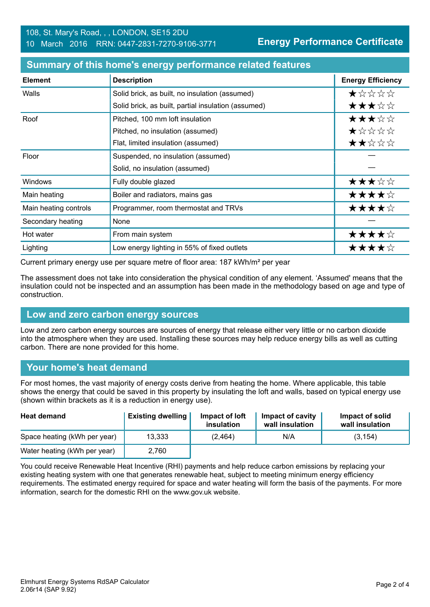**Energy Performance Certificate**

| <b>Element</b>        | <b>Description</b>                                  | <b>Energy Efficiency</b>               |
|-----------------------|-----------------------------------------------------|----------------------------------------|
| Walls                 | Solid brick, as built, no insulation (assumed)      | *****                                  |
|                       | Solid brick, as built, partial insulation (assumed) | ★★★☆☆                                  |
| Roof                  | Pitched, 100 mm loft insulation                     | ★★★☆☆                                  |
|                       | Pitched, no insulation (assumed)                    | $\bigstar \times \times \times \times$ |
|                       | Flat, limited insulation (assumed)                  | ★★☆☆☆                                  |
| Floor                 | Suspended, no insulation (assumed)                  |                                        |
|                       | Solid, no insulation (assumed)                      |                                        |
| Windows               | Fully double glazed                                 | ★★★☆☆                                  |
| Main heating          | Boiler and radiators, mains gas                     | ★★★★☆                                  |
| Main heating controls | Programmer, room thermostat and TRVs                | ★★★★☆                                  |
| Secondary heating     | None                                                |                                        |
| Hot water             | From main system                                    | ★★★★☆                                  |
| Lighting              | Low energy lighting in 55% of fixed outlets         | ★★★★☆                                  |

#### **Summary of this home's energy performance related features**

Current primary energy use per square metre of floor area: 187 kWh/m² per year

The assessment does not take into consideration the physical condition of any element. 'Assumed' means that the insulation could not be inspected and an assumption has been made in the methodology based on age and type of construction.

### **Low and zero carbon energy sources**

Low and zero carbon energy sources are sources of energy that release either very little or no carbon dioxide into the atmosphere when they are used. Installing these sources may help reduce energy bills as well as cutting carbon. There are none provided for this home.

# **Your home's heat demand**

For most homes, the vast majority of energy costs derive from heating the home. Where applicable, this table shows the energy that could be saved in this property by insulating the loft and walls, based on typical energy use (shown within brackets as it is a reduction in energy use).

| <b>Heat demand</b>           | <b>Existing dwelling</b> | Impact of loft<br>insulation | Impact of cavity<br>wall insulation | Impact of solid<br>wall insulation |
|------------------------------|--------------------------|------------------------------|-------------------------------------|------------------------------------|
| Space heating (kWh per year) | 13,333                   | (2.464)                      | N/A                                 | (3, 154)                           |
| Water heating (kWh per year) | 2.760                    |                              |                                     |                                    |

You could receive Renewable Heat Incentive (RHI) payments and help reduce carbon emissions by replacing your existing heating system with one that generates renewable heat, subject to meeting minimum energy efficiency requirements. The estimated energy required for space and water heating will form the basis of the payments. For more information, search for the domestic RHI on the www.gov.uk website.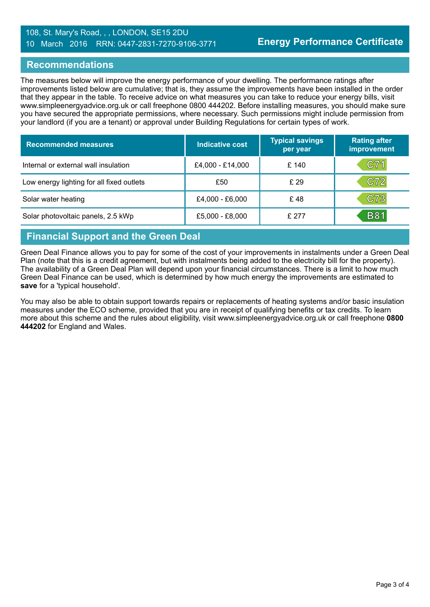# 108, St. Mary's Road, , , LONDON, SE15 2DU 10 March 2016 RRN: 0447-2831-7270-9106-3771

# **Recommendations**

The measures below will improve the energy performance of your dwelling. The performance ratings after improvements listed below are cumulative; that is, they assume the improvements have been installed in the order that they appear in the table. To receive advice on what measures you can take to reduce your energy bills, visit www.simpleenergyadvice.org.uk or call freephone 0800 444202. Before installing measures, you should make sure you have secured the appropriate permissions, where necessary. Such permissions might include permission from your landlord (if you are a tenant) or approval under Building Regulations for certain types of work.

| <b>Recommended measures</b>               | Indicative cost  | <b>Typical savings</b><br>per year | <b>Rating after</b><br>improvement |
|-------------------------------------------|------------------|------------------------------------|------------------------------------|
| Internal or external wall insulation      | £4,000 - £14,000 | £ 140                              | C71                                |
| Low energy lighting for all fixed outlets | £50              | £ 29                               | C72                                |
| Solar water heating                       | £4,000 - £6,000  | £48                                | C73                                |
| Solar photovoltaic panels, 2.5 kWp        | £5,000 - £8,000  | £277                               | <b>B81</b>                         |

# **Financial Support and the Green Deal**

Green Deal Finance allows you to pay for some of the cost of your improvements in instalments under a Green Deal Plan (note that this is a credit agreement, but with instalments being added to the electricity bill for the property). The availability of a Green Deal Plan will depend upon your financial circumstances. There is a limit to how much Green Deal Finance can be used, which is determined by how much energy the improvements are estimated to **save** for a 'typical household'.

You may also be able to obtain support towards repairs or replacements of heating systems and/or basic insulation measures under the ECO scheme, provided that you are in receipt of qualifying benefits or tax credits. To learn more about this scheme and the rules about eligibility, visit www.simpleenergyadvice.org.uk or call freephone **0800 444202** for England and Wales.